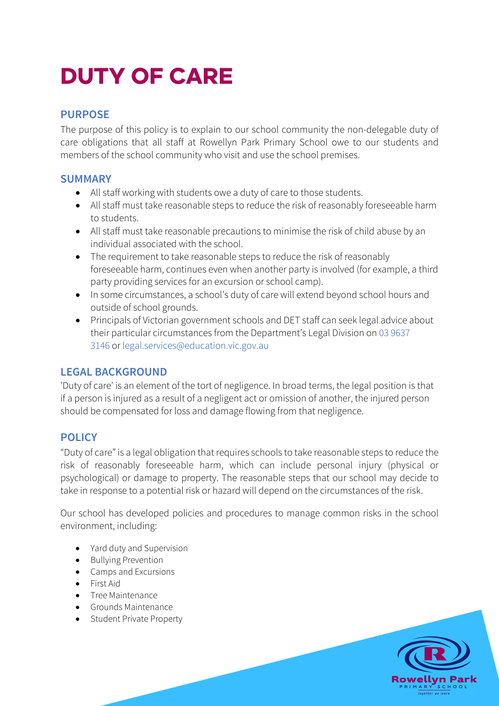# **DUTY OF CARE**

# **PURPOSE**

The purpose of this policy is to explain to our school community the non-delegable duty of care obligations that all staff at Rowellyn Park Primary School owe to our students and members of the school community who visit and use the school premises.

# **SUMMARY**

- All staff working with students owe a duty of care to those students.
- All staff must take reasonable steps to reduce the risk of reasonably foreseeable harm to students.
- All staff must take reasonable precautions to minimise the risk of child abuse by an individual associated with the school.
- The requirement to take reasonable steps to reduce the risk of reasonably foreseeable harm, continues even when another party is involved (for example, a third party providing services for an excursion or school camp).
- In some circumstances, a school's duty of care will extend beyond school hours and outside of school grounds.
- Principals of Victorian government schools and DET staff can seek legal advice about their particular circumstances from the Department's Legal Division on 03 9637 3146 or legal.services@education.vic.gov.au

# **LEGAL BACKGROUND**

'Duty of care' is an element of the tort of negligence. In broad terms, the legal position is that if a person is injured as a result of a negligent act or omission of another, the injured person should be compensated for loss and damage flowing from that negligence.

# **POLICY**

"Duty of care" is a legal obligation that requires schools to take reasonable steps to reduce the risk of reasonably foreseeable harm, which can include personal injury (physical or psychological) or damage to property. The reasonable steps that our school may decide to take in response to a potential risk or hazard will depend on the circumstances of the risk.

Our school has developed policies and procedures to manage common risks in the school environment, including:

- Yard duty and Supervision
- Bullying Prevention
- Camps and Excursions
- First Aid
- Tree Maintenance
- Grounds Maintenance
- Student Private Property

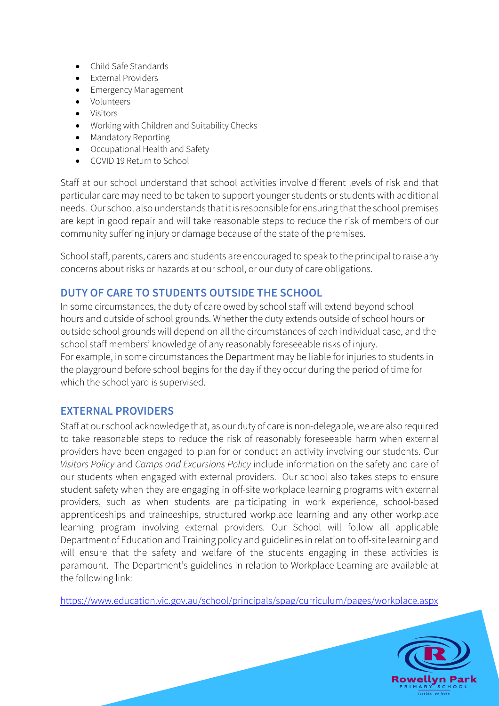- Child Safe Standards
- External Providers
- Emergency Management
- Volunteers
- Visitors
- Working with Children and Suitability Checks
- Mandatory Reporting
- Occupational Health and Safety
- COVID 19 Return to School

Staff at our school understand that school activities involve different levels of risk and that particular care may need to be taken to support younger students or students with additional needs. Our school also understands that it is responsible for ensuring that the school premises are kept in good repair and will take reasonable steps to reduce the risk of members of our community suffering injury or damage because of the state of the premises.

School staff, parents, carers and students are encouraged to speak to the principal to raise any concerns about risks or hazards at our school, or our duty of care obligations.

# **DUTY OF CARE TO STUDENTS OUTSIDE THE SCHOOL**

In some circumstances, the duty of care owed by school staff will extend beyond school hours and outside of school grounds. Whether the duty extends outside of school hours or outside school grounds will depend on all the circumstances of each individual case, and the school staff members' knowledge of any reasonably foreseeable risks of injury. For example, in some circumstances the Department may be liable for injuries to students in the playground before school begins for the day if they occur during the period of time for which the school yard is supervised.

#### **EXTERNAL PROVIDERS**

Staff at our school acknowledge that, as our duty of care is non-delegable, we are also required to take reasonable steps to reduce the risk of reasonably foreseeable harm when external providers have been engaged to plan for or conduct an activity involving our students. Our *Visitors Policy* and *Camps and Excursions Policy* include information on the safety and care of our students when engaged with external providers. Our school also takes steps to ensure student safety when they are engaging in off-site workplace learning programs with external providers, such as when students are participating in work experience, school-based apprenticeships and traineeships, structured workplace learning and any other workplace learning program involving external providers. Our School will follow all applicable Department of Education and Training policy and guidelines in relation to off-site learning and will ensure that the safety and welfare of the students engaging in these activities is paramount. The Department's guidelines in relation to Workplace Learning are available at the following link:

https://www.education.vic.gov.au/school/principals/spag/curriculum/pages/workplace.aspx